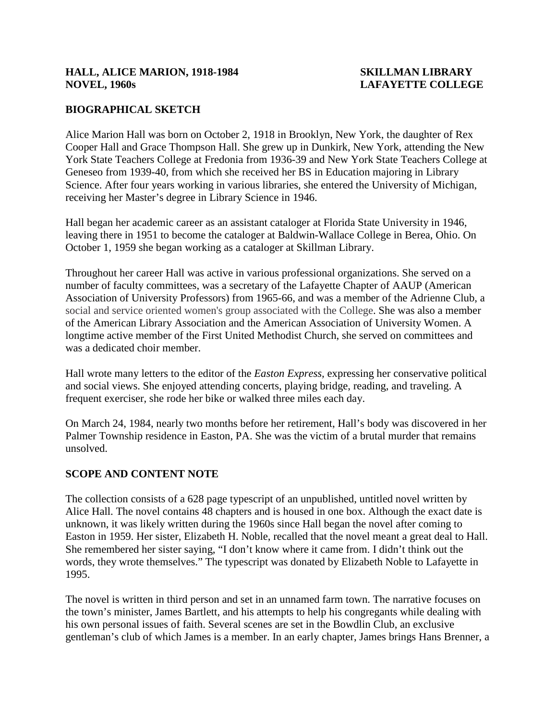### **HALL, ALICE MARION, 1918-1984 SKILLMAN LIBRARY NOVEL, 1960s LAFAYETTE COLLEGE**

## **BIOGRAPHICAL SKETCH**

Alice Marion Hall was born on October 2, 1918 in Brooklyn, New York, the daughter of Rex Cooper Hall and Grace Thompson Hall. She grew up in Dunkirk, New York, attending the New York State Teachers College at Fredonia from 1936-39 and New York State Teachers College at Geneseo from 1939-40, from which she received her BS in Education majoring in Library Science. After four years working in various libraries, she entered the University of Michigan, receiving her Master's degree in Library Science in 1946.

Hall began her academic career as an assistant cataloger at Florida State University in 1946, leaving there in 1951 to become the cataloger at Baldwin-Wallace College in Berea, Ohio. On October 1, 1959 she began working as a cataloger at Skillman Library.

Throughout her career Hall was active in various professional organizations. She served on a number of faculty committees, was a secretary of the Lafayette Chapter of AAUP (American Association of University Professors) from 1965-66, and was a member of the Adrienne Club, a social and service oriented women's group associated with the College. She was also a member of the American Library Association and the American Association of University Women. A longtime active member of the First United Methodist Church, she served on committees and was a dedicated choir member.

Hall wrote many letters to the editor of the *Easton Express,* expressing her conservative political and social views. She enjoyed attending concerts, playing bridge, reading, and traveling. A frequent exerciser, she rode her bike or walked three miles each day.

On March 24, 1984, nearly two months before her retirement, Hall's body was discovered in her Palmer Township residence in Easton, PA. She was the victim of a brutal murder that remains unsolved.

#### **SCOPE AND CONTENT NOTE**

The collection consists of a 628 page typescript of an unpublished, untitled novel written by Alice Hall. The novel contains 48 chapters and is housed in one box. Although the exact date is unknown, it was likely written during the 1960s since Hall began the novel after coming to Easton in 1959. Her sister, Elizabeth H. Noble, recalled that the novel meant a great deal to Hall. She remembered her sister saying, "I don't know where it came from. I didn't think out the words, they wrote themselves." The typescript was donated by Elizabeth Noble to Lafayette in 1995.

The novel is written in third person and set in an unnamed farm town. The narrative focuses on the town's minister, James Bartlett, and his attempts to help his congregants while dealing with his own personal issues of faith. Several scenes are set in the Bowdlin Club, an exclusive gentleman's club of which James is a member. In an early chapter, James brings Hans Brenner, a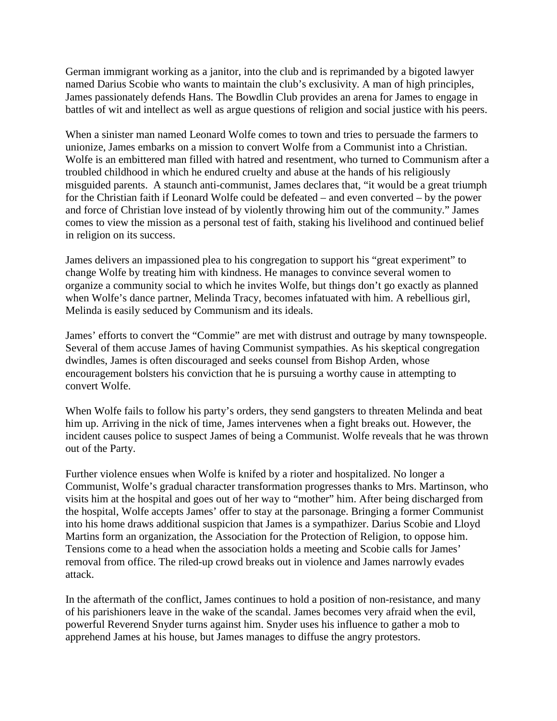German immigrant working as a janitor, into the club and is reprimanded by a bigoted lawyer named Darius Scobie who wants to maintain the club's exclusivity. A man of high principles, James passionately defends Hans. The Bowdlin Club provides an arena for James to engage in battles of wit and intellect as well as argue questions of religion and social justice with his peers.

When a sinister man named Leonard Wolfe comes to town and tries to persuade the farmers to unionize, James embarks on a mission to convert Wolfe from a Communist into a Christian. Wolfe is an embittered man filled with hatred and resentment, who turned to Communism after a troubled childhood in which he endured cruelty and abuse at the hands of his religiously misguided parents. A staunch anti-communist, James declares that, "it would be a great triumph for the Christian faith if Leonard Wolfe could be defeated – and even converted – by the power and force of Christian love instead of by violently throwing him out of the community." James comes to view the mission as a personal test of faith, staking his livelihood and continued belief in religion on its success.

James delivers an impassioned plea to his congregation to support his "great experiment" to change Wolfe by treating him with kindness. He manages to convince several women to organize a community social to which he invites Wolfe, but things don't go exactly as planned when Wolfe's dance partner, Melinda Tracy, becomes infatuated with him. A rebellious girl, Melinda is easily seduced by Communism and its ideals.

James' efforts to convert the "Commie" are met with distrust and outrage by many townspeople. Several of them accuse James of having Communist sympathies. As his skeptical congregation dwindles, James is often discouraged and seeks counsel from Bishop Arden, whose encouragement bolsters his conviction that he is pursuing a worthy cause in attempting to convert Wolfe.

When Wolfe fails to follow his party's orders, they send gangsters to threaten Melinda and beat him up. Arriving in the nick of time, James intervenes when a fight breaks out. However, the incident causes police to suspect James of being a Communist. Wolfe reveals that he was thrown out of the Party.

Further violence ensues when Wolfe is knifed by a rioter and hospitalized. No longer a Communist, Wolfe's gradual character transformation progresses thanks to Mrs. Martinson, who visits him at the hospital and goes out of her way to "mother" him. After being discharged from the hospital, Wolfe accepts James' offer to stay at the parsonage. Bringing a former Communist into his home draws additional suspicion that James is a sympathizer. Darius Scobie and Lloyd Martins form an organization, the Association for the Protection of Religion, to oppose him. Tensions come to a head when the association holds a meeting and Scobie calls for James' removal from office. The riled-up crowd breaks out in violence and James narrowly evades attack.

In the aftermath of the conflict, James continues to hold a position of non-resistance, and many of his parishioners leave in the wake of the scandal. James becomes very afraid when the evil, powerful Reverend Snyder turns against him. Snyder uses his influence to gather a mob to apprehend James at his house, but James manages to diffuse the angry protestors.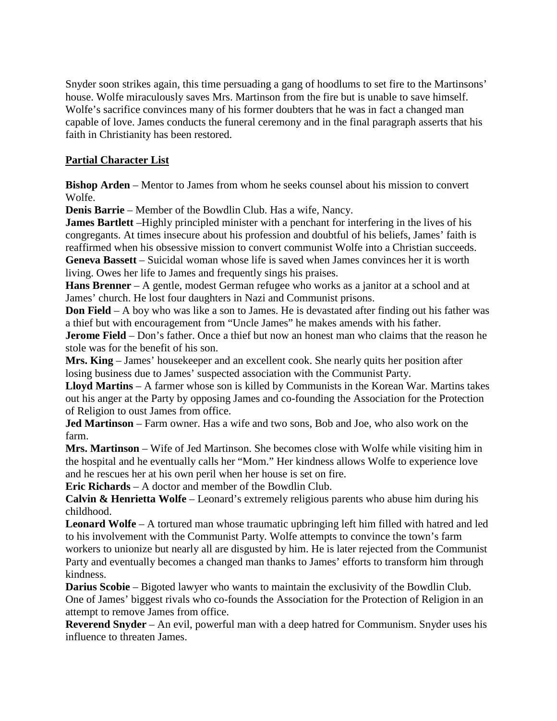Snyder soon strikes again, this time persuading a gang of hoodlums to set fire to the Martinsons' house. Wolfe miraculously saves Mrs. Martinson from the fire but is unable to save himself. Wolfe's sacrifice convinces many of his former doubters that he was in fact a changed man capable of love. James conducts the funeral ceremony and in the final paragraph asserts that his faith in Christianity has been restored.

## **Partial Character List**

**Bishop Arden** – Mentor to James from whom he seeks counsel about his mission to convert Wolfe.

**Denis Barrie** – Member of the Bowdlin Club. Has a wife, Nancy.

**James Bartlett** –Highly principled minister with a penchant for interfering in the lives of his congregants. At times insecure about his profession and doubtful of his beliefs, James' faith is reaffirmed when his obsessive mission to convert communist Wolfe into a Christian succeeds. **Geneva Bassett** – Suicidal woman whose life is saved when James convinces her it is worth living. Owes her life to James and frequently sings his praises.

**Hans Brenner** – A gentle, modest German refugee who works as a janitor at a school and at James' church. He lost four daughters in Nazi and Communist prisons.

**Don Field** – A boy who was like a son to James. He is devastated after finding out his father was a thief but with encouragement from "Uncle James" he makes amends with his father.

**Jerome Field** – Don's father. Once a thief but now an honest man who claims that the reason he stole was for the benefit of his son.

**Mrs. King** – James' housekeeper and an excellent cook. She nearly quits her position after losing business due to James' suspected association with the Communist Party.

**Lloyd Martins** – A farmer whose son is killed by Communists in the Korean War. Martins takes out his anger at the Party by opposing James and co-founding the Association for the Protection of Religion to oust James from office.

**Jed Martinson** – Farm owner. Has a wife and two sons, Bob and Joe, who also work on the farm.

**Mrs. Martinson** – Wife of Jed Martinson. She becomes close with Wolfe while visiting him in the hospital and he eventually calls her "Mom." Her kindness allows Wolfe to experience love and he rescues her at his own peril when her house is set on fire.

**Eric Richards** – A doctor and member of the Bowdlin Club.

**Calvin & Henrietta Wolfe** – Leonard's extremely religious parents who abuse him during his childhood.

**Leonard Wolfe** – A tortured man whose traumatic upbringing left him filled with hatred and led to his involvement with the Communist Party. Wolfe attempts to convince the town's farm workers to unionize but nearly all are disgusted by him. He is later rejected from the Communist Party and eventually becomes a changed man thanks to James' efforts to transform him through kindness.

**Darius Scobie** – Bigoted lawyer who wants to maintain the exclusivity of the Bowdlin Club. One of James' biggest rivals who co-founds the Association for the Protection of Religion in an attempt to remove James from office.

**Reverend Snyder** – An evil, powerful man with a deep hatred for Communism. Snyder uses his influence to threaten James.